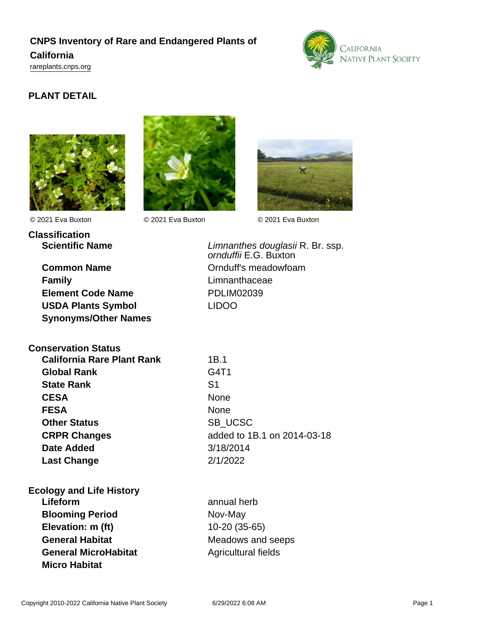# **CNPS Inventory of Rare and Endangered Plants of California**

<rareplants.cnps.org>



## **PLANT DETAIL**





**Classification** © 2021 Eva Buxton © 2021 Eva Buxton © 2021 Eva Buxton



**Common Name** Common Name Common Name **Family Example 2018 Limnanthaceae Element Code Name** PDLIM02039 **USDA Plants Symbol** LIDOO **Synonyms/Other Names**

**Scientific Name Construction Example 2 Construction Limnanthes douglasii R. Br. ssp.** ornduffii E.G. Buxton

| <b>Conservation Status</b>        |                |
|-----------------------------------|----------------|
| <b>California Rare Plant Rank</b> | 1B.1           |
| <b>Global Rank</b>                | G4T1           |
| <b>State Rank</b>                 | S <sub>1</sub> |
| <b>CESA</b>                       | <b>None</b>    |
| <b>FESA</b>                       | None           |
| <b>Other Status</b>               | <b>SB UCS</b>  |
| <b>CRPR Changes</b>               | added to       |
| <b>Date Added</b>                 | 3/18/2014      |
| <b>Last Change</b>                | 2/1/2022       |

**Ecology and Life History Lifeform** annual herb **Blooming Period** Nov-May **Elevation: m (ft)** 10-20 (35-65)

**General Habitat** Meadows and seeps **General MicroHabitat Agricultural fields Micro Habitat**

SB\_UCSC **CRPR Changes** added to 1B.1 on 2014-03-18 **Date Added** 3/18/2014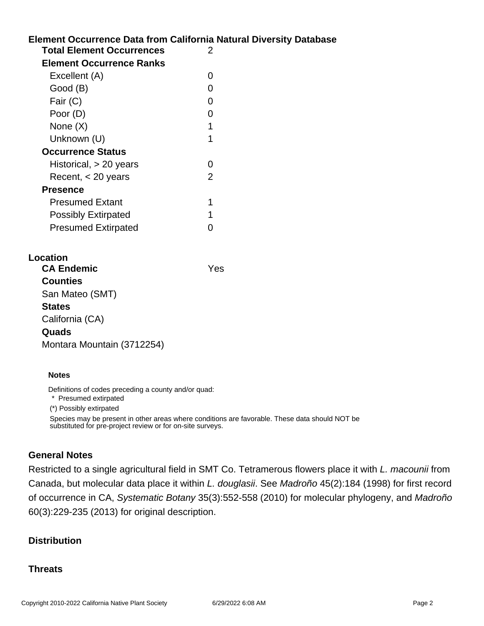## **Element Occurrence Data from California Natural Diversity Database Total Element Occurrences** 2 **Element Occurrence Ranks** Excellent (A) 0 Good (B) and the contract of the contract of the contract of the contract of the contract of the contract of the contract of the contract of the contract of the contract of the contract of the contract of the contract of t Fair (C) 0 Poor (D) 0 None  $(X)$  1 Unknown (U) 1 **Occurrence Status** Historical, > 20 years 0 Recent, < 20 years 2 **Presence** Presumed Extant 1 Possibly Extirpated 1 Presumed Extirpated 0

## **Location CA Endemic** Yes **Counties** San Mateo (SMT) **States** California (CA) **Quads** Montara Mountain (3712254)

#### **Notes**

Definitions of codes preceding a county and/or quad:

\* Presumed extirpated

(\*) Possibly extirpated

Species may be present in other areas where conditions are favorable. These data should NOT be substituted for pre-project review or for on-site surveys.

#### **General Notes**

Restricted to a single agricultural field in SMT Co. Tetramerous flowers place it with L. macounii from Canada, but molecular data place it within L. douglasii. See Madroño 45(2):184 (1998) for first record of occurrence in CA, Systematic Botany 35(3):552-558 (2010) for molecular phylogeny, and Madroño 60(3):229-235 (2013) for original description.

### **Distribution**

#### **Threats**